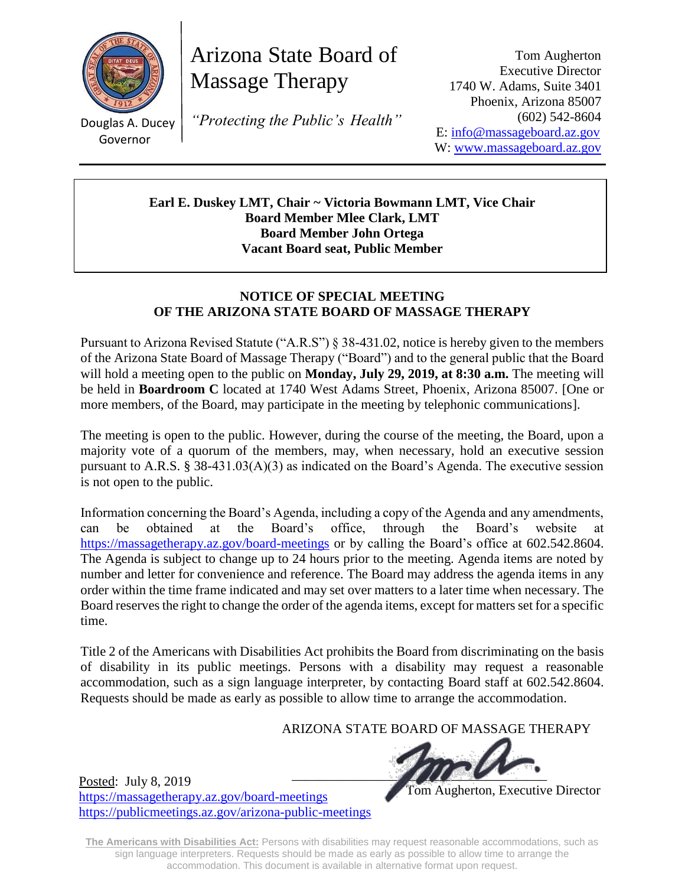

Douglas A. Ducey Governor

Posted: July 8, 2019

<https://massagetherapy.az.gov/board-meetings>

<https://publicmeetings.az.gov/arizona-public-meetings>

Arizona State Board of Massage Therapy

*"Protecting the Public's Health"*

Tom Augherton Executive Director 1740 W. Adams, Suite 3401 Phoenix, Arizona 85007 (602) 542-8604 E: [info@massageboard.az.gov](mailto:info@massageboard.az.gov) W: [www.massageboard.az.gov](http://www.massageboard.az.gov/)

**Earl E. Duskey LMT, Chair ~ Victoria Bowmann LMT, Vice Chair Board Member Mlee Clark, LMT Board Member John Ortega Vacant Board seat, Public Member**

### **NOTICE OF SPECIAL MEETING OF THE ARIZONA STATE BOARD OF MASSAGE THERAPY**

Pursuant to Arizona Revised Statute ("A.R.S") § 38-431.02, notice is hereby given to the members of the Arizona State Board of Massage Therapy ("Board") and to the general public that the Board will hold a meeting open to the public on **Monday, July 29, 2019, at 8:30 a.m.** The meeting will be held in **Boardroom C** located at 1740 West Adams Street, Phoenix, Arizona 85007. [One or more members, of the Board, may participate in the meeting by telephonic communications].

The meeting is open to the public. However, during the course of the meeting, the Board, upon a majority vote of a quorum of the members, may, when necessary, hold an executive session pursuant to A.R.S. § 38-431.03(A)(3) as indicated on the Board's Agenda. The executive session is not open to the public.

Information concerning the Board's Agenda, including a copy of the Agenda and any amendments, can be obtained at the Board's office, through the Board's website at <https://massagetherapy.az.gov/>board-meetings or by calling the Board's office at 602.542.8604. The Agenda is subject to change up to 24 hours prior to the meeting. Agenda items are noted by number and letter for convenience and reference. The Board may address the agenda items in any order within the time frame indicated and may set over matters to a later time when necessary. The Board reserves the right to change the order of the agenda items, except for matters set for a specific time.

Title 2 of the Americans with Disabilities Act prohibits the Board from discriminating on the basis of disability in its public meetings. Persons with a disability may request a reasonable accommodation, such as a sign language interpreter, by contacting Board staff at 602.542.8604. Requests should be made as early as possible to allow time to arrange the accommodation.

ARIZONA STATE BOARD OF MASSAGE THERAPY

 $\blacksquare$ 

Tom Augherton, Executive Director

**The Americans with Disabilities Act:** Persons with disabilities may request reasonable accommodations, such as sign language interpreters. Requests should be made as early as possible to allow time to arrange the accommodation. This document is available in alternative format upon request.